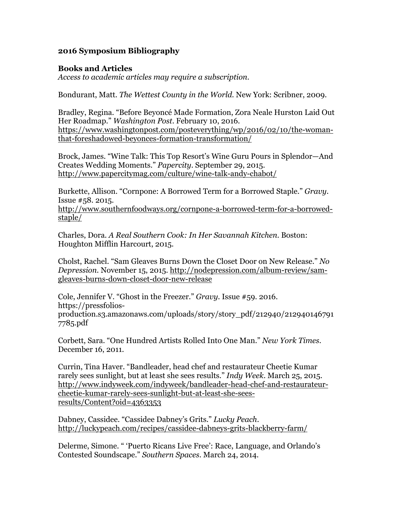## **2016 Symposium Bibliography**

## **Books and Articles**

*Access to academic articles may require a subscription.*

Bondurant, Matt. *The Wettest County in the World*. New York: Scribner, 2009.

Bradley, Regina. "Before Beyoncé Made Formation, Zora Neale Hurston Laid Out Her Roadmap." *Washington Post*. February 10, 2016. https://www.washingtonpost.com/posteverything/wp/2016/02/10/the-womanthat-foreshadowed-beyonces-formation-transformation/

Brock, James. "Wine Talk: This Top Resort's Wine Guru Pours in Splendor—And Creates Wedding Moments." *Papercity*. September 29, 2015. http://www.papercitymag.com/culture/wine-talk-andy-chabot/

Burkette, Allison. "Cornpone: A Borrowed Term for a Borrowed Staple." *Gravy*. Issue #58. 2015.

http://www.southernfoodways.org/cornpone-a-borrowed-term-for-a-borrowedstaple/

Charles, Dora. *A Real Southern Cook: In Her Savannah Kitchen*. Boston: Houghton Mifflin Harcourt, 2015.

Cholst, Rachel. "Sam Gleaves Burns Down the Closet Door on New Release." *No Depression*. November 15, 2015. http://nodepression.com/album-review/samgleaves-burns-down-closet-door-new-release

Cole, Jennifer V. "Ghost in the Freezer." *Gravy*. Issue #59. 2016. https://pressfoliosproduction.s3.amazonaws.com/uploads/story/story\_pdf/212940/212940146791 7785.pdf

Corbett, Sara. "One Hundred Artists Rolled Into One Man." *New York Times*. December 16, 2011.

Currin, Tina Haver. "Bandleader, head chef and restaurateur Cheetie Kumar rarely sees sunlight, but at least she sees results." *Indy Week*. March 25, 2015. http://www.indyweek.com/indyweek/bandleader-head-chef-and-restaurateurcheetie-kumar-rarely-sees-sunlight-but-at-least-she-seesresults/Content?oid=4363353

Dabney, Cassidee. "Cassidee Dabney's Grits." *Lucky Peach*. http://luckypeach.com/recipes/cassidee-dabneys-grits-blackberry-farm/

Delerme, Simone. " 'Puerto Ricans Live Free': Race, Language, and Orlando's Contested Soundscape." *Southern Spaces*. March 24, 2014.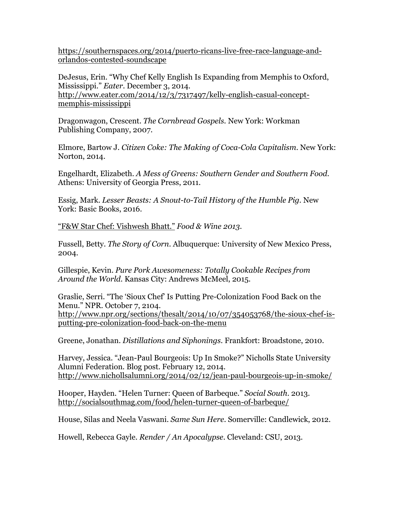https://southernspaces.org/2014/puerto-ricans-live-free-race-language-andorlandos-contested-soundscape

DeJesus, Erin. "Why Chef Kelly English Is Expanding from Memphis to Oxford, Mississippi." *Eater*. December 3, 2014. http://www.eater.com/2014/12/3/7317497/kelly-english-casual-conceptmemphis-mississippi

Dragonwagon, Crescent. *The Cornbread Gospels.* New York: Workman Publishing Company, 2007.

Elmore, Bartow J. *Citizen Coke: The Making of Coca-Cola Capitalism*. New York: Norton, 2014.

Engelhardt, Elizabeth. *A Mess of Greens: Southern Gender and Southern Food*. Athens: University of Georgia Press, 2011.

Essig, Mark. *Lesser Beasts: A Snout-to-Tail History of the Humble Pig*. New York: Basic Books, 2016.

"F&W Star Chef: Vishwesh Bhatt." *Food & Wine 2013.*

Fussell, Betty. *The Story of Corn*. Albuquerque: University of New Mexico Press, 2004.

Gillespie, Kevin. *Pure Pork Awesomeness: Totally Cookable Recipes from Around the World*. Kansas City: Andrews McMeel, 2015.

Graslie, Serri. "The 'Sioux Chef' Is Putting Pre-Colonization Food Back on the Menu." NPR. October 7, 2104. http://www.npr.org/sections/thesalt/2014/10/07/354053768/the-sioux-chef-isputting-pre-colonization-food-back-on-the-menu

Greene, Jonathan. *Distillations and Siphonings*. Frankfort: Broadstone, 2010.

Harvey, Jessica. "Jean-Paul Bourgeois: Up In Smoke?" Nicholls State University Alumni Federation. Blog post. February 12, 2014. http://www.nichollsalumni.org/2014/02/12/jean-paul-bourgeois-up-in-smoke/

Hooper, Hayden. "Helen Turner: Queen of Barbeque." *Social South*. 2013. http://socialsouthmag.com/food/helen-turner-queen-of-barbeque/

House, Silas and Neela Vaswani. *Same Sun Here*. Somerville: Candlewick, 2012.

Howell, Rebecca Gayle. *Render / An Apocalypse*. Cleveland: CSU, 2013.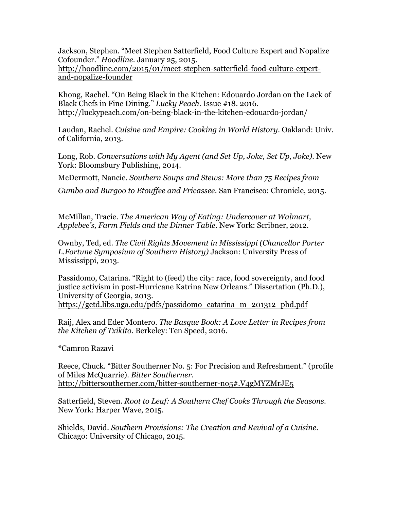Jackson, Stephen. "Meet Stephen Satterfield, Food Culture Expert and Nopalize Cofounder." *Hoodline*. January 25, 2015. http://hoodline.com/2015/01/meet-stephen-satterfield-food-culture-expertand-nopalize-founder

Khong, Rachel. "On Being Black in the Kitchen: Edouardo Jordan on the Lack of Black Chefs in Fine Dining." *Lucky Peach*. Issue #18. 2016. http://luckypeach.com/on-being-black-in-the-kitchen-edouardo-jordan/

Laudan, Rachel. *Cuisine and Empire: Cooking in World History*. Oakland: Univ. of California, 2013.

Long, Rob. *Conversations with My Agent (and Set Up, Joke, Set Up, Joke)*. New York: Bloomsbury Publishing, 2014.

McDermott, Nancie. *Southern Soups and Stews: More than 75 Recipes from* 

*Gumbo and Burgoo to Etouffee and Fricassee*. San Francisco: Chronicle, 2015.

McMillan, Tracie. *The American Way of Eating: Undercover at Walmart, Applebee's, Farm Fields and the Dinner Table*. New York: Scribner, 2012.

Ownby, Ted, ed. *The Civil Rights Movement in Mississippi (Chancellor Porter L.Fortune Symposium of Southern History)* Jackson: University Press of Mississippi, 2013.

Passidomo, Catarina. "Right to (feed) the city: race, food sovereignty, and food justice activism in post-Hurricane Katrina New Orleans." Dissertation (Ph.D.), University of Georgia, 2013. https://getd.libs.uga.edu/pdfs/passidomo\_catarina\_m\_201312\_phd.pdf

Raij, Alex and Eder Montero. *The Basque Book: A Love Letter in Recipes from the Kitchen of Txikito*. Berkeley: Ten Speed, 2016.

\*Camron Razavi

Reece, Chuck. "Bitter Southerner No. 5: For Precision and Refreshment." (profile of Miles McQuarrie). *Bitter Southerner*. http://bittersoutherner.com/bitter-southerner-no5#.V4gMYZMrJE5

Satterfield, Steven. *Root to Leaf: A Southern Chef Cooks Through the Seasons*. New York: Harper Wave, 2015.

Shields, David. *Southern Provisions: The Creation and Revival of a Cuisine*. Chicago: University of Chicago, 2015.